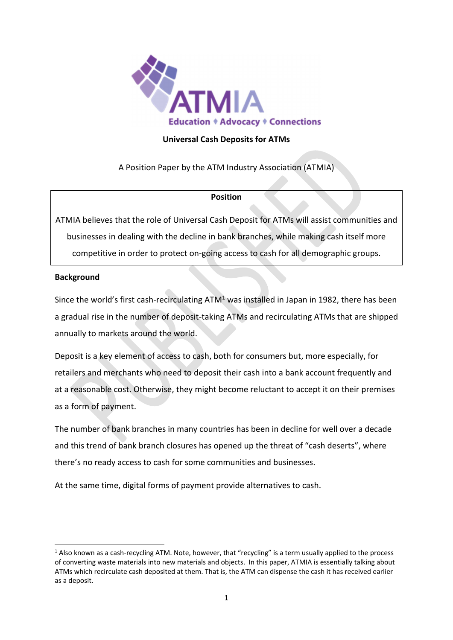

# **Universal Cash Deposits for ATMs**

A Position Paper by the ATM Industry Association (ATMIA)

### **Position**

ATMIA believes that the role of Universal Cash Deposit for ATMs will assist communities and businesses in dealing with the decline in bank branches, while making cash itself more competitive in order to protect on-going access to cash for all demographic groups.

### **Background**

Since the world's first cash-recirculating  $ATM<sup>1</sup>$  was installed in Japan in 1982, there has been a gradual rise in the number of deposit-taking ATMs and recirculating ATMs that are shipped annually to markets around the world.

Deposit is a key element of access to cash, both for consumers but, more especially, for retailers and merchants who need to deposit their cash into a bank account frequently and at a reasonable cost. Otherwise, they might become reluctant to accept it on their premises as a form of payment.

The number of bank branches in many countries has been in decline for well over a decade and this trend of bank branch closures has opened up the threat of "cash deserts", where there's no ready access to cash for some communities and businesses.

At the same time, digital forms of payment provide alternatives to cash.

<sup>&</sup>lt;sup>1</sup> Also known as a cash-recycling ATM. Note, however, that "recycling" is a term usually applied to the process of converting waste materials into new materials and objects. In this paper, ATMIA is essentially talking about ATMs which recirculate cash deposited at them. That is, the ATM can dispense the cash it has received earlier as a deposit.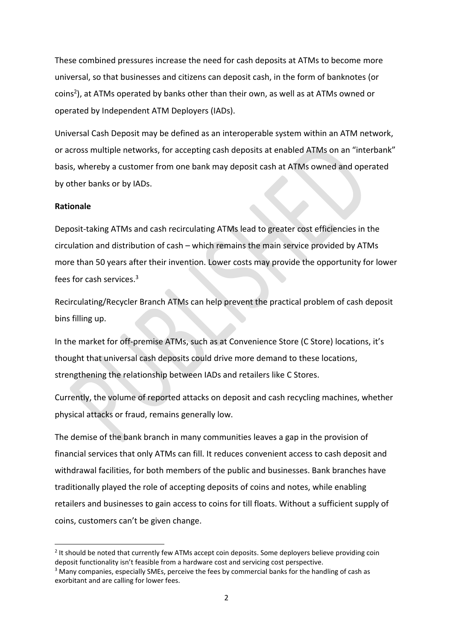These combined pressures increase the need for cash deposits at ATMs to become more universal, so that businesses and citizens can deposit cash, in the form of banknotes (or coins<sup>2</sup>), at ATMs operated by banks other than their own, as well as at ATMs owned or operated by Independent ATM Deployers (IADs).

Universal Cash Deposit may be defined as an interoperable system within an ATM network, or across multiple networks, for accepting cash deposits at enabled ATMs on an "interbank" basis, whereby a customer from one bank may deposit cash at ATMs owned and operated by other banks or by IADs.

#### **Rationale**

Deposit-taking ATMs and cash recirculating ATMs lead to greater cost efficiencies in the circulation and distribution of cash – which remains the main service provided by ATMs more than 50 years after their invention. Lower costs may provide the opportunity for lower fees for cash services.<sup>3</sup>

Recirculating/Recycler Branch ATMs can help prevent the practical problem of cash deposit bins filling up.

In the market for off-premise ATMs, such as at Convenience Store (C Store) locations, it's thought that universal cash deposits could drive more demand to these locations, strengthening the relationship between IADs and retailers like C Stores.

Currently, the volume of reported attacks on deposit and cash recycling machines, whether physical attacks or fraud, remains generally low.

The demise of the bank branch in many communities leaves a gap in the provision of financial services that only ATMs can fill. It reduces convenient access to cash deposit and withdrawal facilities, for both members of the public and businesses. Bank branches have traditionally played the role of accepting deposits of coins and notes, while enabling retailers and businesses to gain access to coins for till floats. Without a sufficient supply of coins, customers can't be given change.

<sup>&</sup>lt;sup>2</sup> It should be noted that currently few ATMs accept coin deposits. Some deployers believe providing coin deposit functionality isn't feasible from a hardware cost and servicing cost perspective.

<sup>3</sup> Many companies, especially SMEs, perceive the fees by commercial banks for the handling of cash as exorbitant and are calling for lower fees.